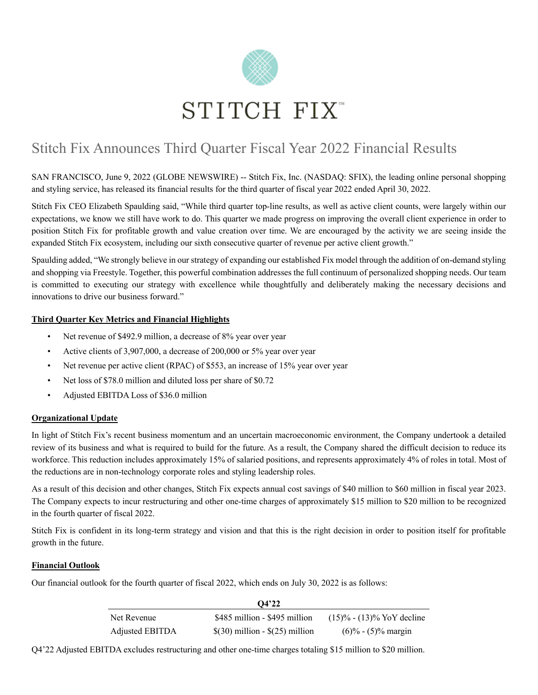

# STITCH FIX<sup>\*\*</sup>

## Stitch Fix Announces Third Quarter Fiscal Year 2022 Financial Results

SAN FRANCISCO, June 9, 2022 (GLOBE NEWSWIRE) -- Stitch Fix, Inc. (NASDAQ: SFIX), the leading online personal shopping and styling service, has released its financial results for the third quarter of fiscal year 2022 ended April 30, 2022.

Stitch Fix CEO Elizabeth Spaulding said, "While third quarter top-line results, as well as active client counts, were largely within our expectations, we know we still have work to do. This quarter we made progress on improving the overall client experience in order to position Stitch Fix for profitable growth and value creation over time. We are encouraged by the activity we are seeing inside the expanded Stitch Fix ecosystem, including our sixth consecutive quarter of revenue per active client growth."

Spaulding added, "We strongly believe in our strategy of expanding our established Fix model through the addition of on-demand styling and shopping via Freestyle. Together, this powerful combination addresses the full continuum of personalized shopping needs. Our team is committed to executing our strategy with excellence while thoughtfully and deliberately making the necessary decisions and innovations to drive our business forward."

### **Third Quarter Key Metrics and Financial Highlights**

- Net revenue of \$492.9 million, a decrease of 8% year over year
- Active clients of 3,907,000, a decrease of 200,000 or 5% year over year
- Net revenue per active client (RPAC) of \$553, an increase of 15% year over year
- Net loss of \$78.0 million and diluted loss per share of \$0.72
- Adjusted EBITDA Loss of \$36.0 million

### **Organizational Update**

In light of Stitch Fix's recent business momentum and an uncertain macroeconomic environment, the Company undertook a detailed review of its business and what is required to build for the future. As a result, the Company shared the difficult decision to reduce its workforce. This reduction includes approximately 15% of salaried positions, and represents approximately 4% of roles in total. Most of the reductions are in non-technology corporate roles and styling leadership roles.

As a result of this decision and other changes, Stitch Fix expects annual cost savings of \$40 million to \$60 million in fiscal year 2023. The Company expects to incur restructuring and other one-time charges of approximately \$15 million to \$20 million to be recognized in the fourth quarter of fiscal 2022.

Stitch Fix is confident in its long-term strategy and vision and that this is the right decision in order to position itself for profitable growth in the future.

### **Financial Outlook**

Our financial outlook for the fourth quarter of fiscal 2022, which ends on July 30, 2022 is as follows:

| $\mathbf{O4}'22$ |                                   |                                 |  |  |  |
|------------------|-----------------------------------|---------------------------------|--|--|--|
| Net Revenue      | \$485 million - \$495 million     | $(15)\%$ - $(13)\%$ YoY decline |  |  |  |
| Adjusted EBITDA  | $$(30)$ million - $$(25)$ million | $(6)\%$ - $(5)\%$ margin        |  |  |  |

Q4'22 Adjusted EBITDA excludes restructuring and other one-time charges totaling \$15 million to \$20 million.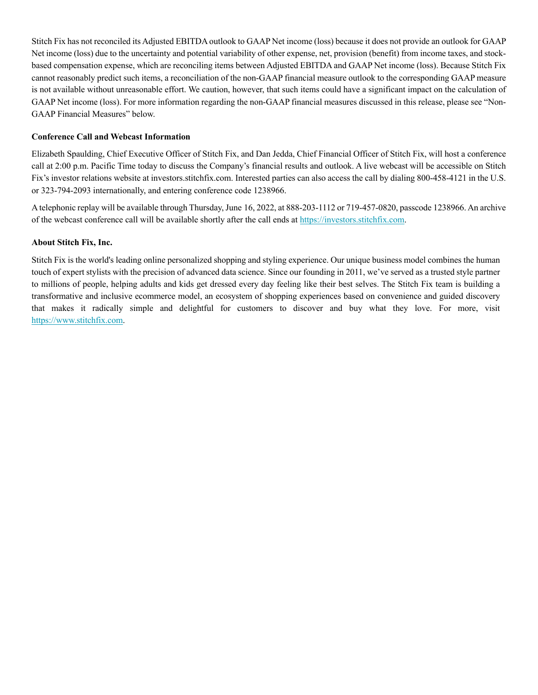Stitch Fix has not reconciled its Adjusted EBITDA outlook to GAAP Net income (loss) because it does not provide an outlook for GAAP Net income (loss) due to the uncertainty and potential variability of other expense, net, provision (benefit) from income taxes, and stockbased compensation expense, which are reconciling items between Adjusted EBITDA and GAAP Net income (loss). Because Stitch Fix cannot reasonably predict such items, a reconciliation of the non-GAAP financial measure outlook to the corresponding GAAP measure is not available without unreasonable effort. We caution, however, that such items could have a significant impact on the calculation of GAAP Net income (loss). For more information regarding the non-GAAP financial measures discussed in this release, please see "Non-GAAP Financial Measures" below.

### **Conference Call and Webcast Information**

Elizabeth Spaulding, Chief Executive Officer of Stitch Fix, and Dan Jedda, Chief Financial Officer of Stitch Fix, will host a conference call at 2:00 p.m. Pacific Time today to discuss the Company's financial results and outlook. A live webcast will be accessible on Stitch Fix's investor relations website at investors.stitchfix.com. Interested parties can also access the call by dialing 800-458-4121 in the U.S. or 323-794-2093 internationally, and entering conference code 1238966.

A telephonic replay will be available through Thursday, June 16, 2022, at 888-203-1112 or 719-457-0820, passcode 1238966. An archive of the webcast conference call will be available shortly after the call ends at https://investors.stitchfix.com.

### **About Stitch Fix, Inc.**

Stitch Fix is the world's leading online personalized shopping and styling experience. Our unique business model combines the human touch of expert stylists with the precision of advanced data science. Since our founding in 2011, we've served as a trusted style partner to millions of people, helping adults and kids get dressed every day feeling like their best selves. The Stitch Fix team is building a transformative and inclusive ecommerce model, an ecosystem of shopping experiences based on convenience and guided discovery that makes it radically simple and delightful for customers to discover and buy what they love. For more, visit https://www.stitchfix.com.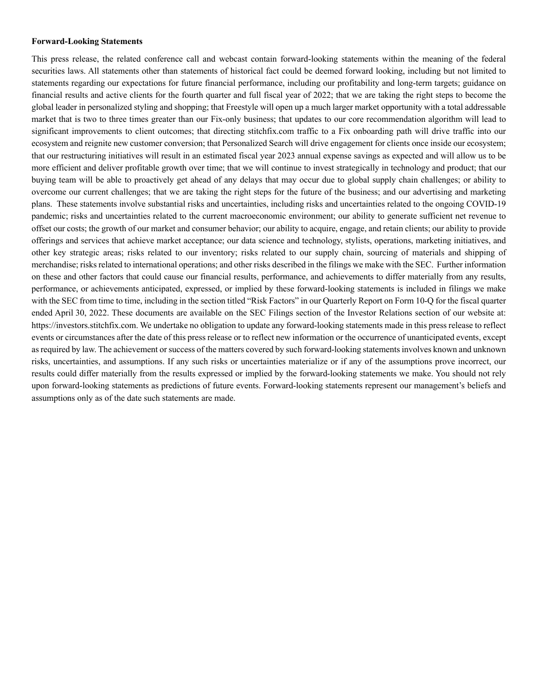#### **Forward-Looking Statements**

This press release, the related conference call and webcast contain forward-looking statements within the meaning of the federal securities laws. All statements other than statements of historical fact could be deemed forward looking, including but not limited to statements regarding our expectations for future financial performance, including our profitability and long-term targets; guidance on financial results and active clients for the fourth quarter and full fiscal year of 2022; that we are taking the right steps to become the global leader in personalized styling and shopping; that Freestyle will open up a much larger market opportunity with a total addressable market that is two to three times greater than our Fix-only business; that updates to our core recommendation algorithm will lead to significant improvements to client outcomes; that directing stitchfix.com traffic to a Fix onboarding path will drive traffic into our ecosystem and reignite new customer conversion; that Personalized Search will drive engagement for clients once inside our ecosystem; that our restructuring initiatives will result in an estimated fiscal year 2023 annual expense savings as expected and will allow us to be more efficient and deliver profitable growth over time; that we will continue to invest strategically in technology and product; that our buying team will be able to proactively get ahead of any delays that may occur due to global supply chain challenges; or ability to overcome our current challenges; that we are taking the right steps for the future of the business; and our advertising and marketing plans. These statements involve substantial risks and uncertainties, including risks and uncertainties related to the ongoing COVID-19 pandemic; risks and uncertainties related to the current macroeconomic environment; our ability to generate sufficient net revenue to offset our costs; the growth of our market and consumer behavior; our ability to acquire, engage, and retain clients; our ability to provide offerings and services that achieve market acceptance; our data science and technology, stylists, operations, marketing initiatives, and other key strategic areas; risks related to our inventory; risks related to our supply chain, sourcing of materials and shipping of merchandise; risks related to international operations; and other risks described in the filings we make with the SEC. Further information on these and other factors that could cause our financial results, performance, and achievements to differ materially from any results, performance, or achievements anticipated, expressed, or implied by these forward-looking statements is included in filings we make with the SEC from time to time, including in the section titled "Risk Factors" in our Quarterly Report on Form 10-Q for the fiscal quarter ended April 30, 2022. These documents are available on the SEC Filings section of the Investor Relations section of our website at: https://investors.stitchfix.com. We undertake no obligation to update any forward-looking statements made in this press release to reflect events or circumstances after the date of this press release or to reflect new information or the occurrence of unanticipated events, except as required by law. The achievement or success of the matters covered by such forward-looking statements involves known and unknown risks, uncertainties, and assumptions. If any such risks or uncertainties materialize or if any of the assumptions prove incorrect, our results could differ materially from the results expressed or implied by the forward-looking statements we make. You should not rely upon forward-looking statements as predictions of future events. Forward-looking statements represent our management's beliefs and assumptions only as of the date such statements are made.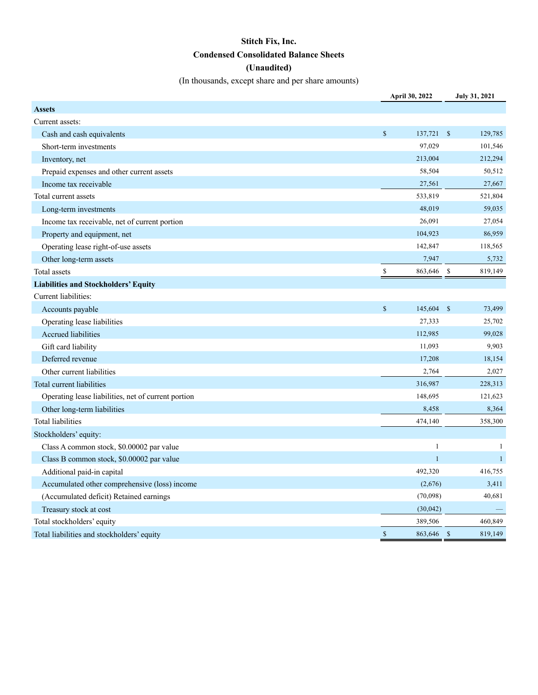### **Stitch Fix, Inc. Condensed Consolidated Balance Sheets (Unaudited)**

(In thousands, except share and per share amounts)

|                                                     | April 30, 2022             | <b>July 31, 2021</b>          |
|-----------------------------------------------------|----------------------------|-------------------------------|
| <b>Assets</b>                                       |                            |                               |
| Current assets:                                     |                            |                               |
| Cash and cash equivalents                           | $\mathbf S$<br>137,721     | $\mathbf{\hat{s}}$<br>129,785 |
| Short-term investments                              | 97,029                     | 101,546                       |
| Inventory, net                                      | 213,004                    | 212,294                       |
| Prepaid expenses and other current assets           | 58,504                     | 50,512                        |
| Income tax receivable                               | 27,561                     | 27,667                        |
| Total current assets                                | 533,819                    | 521,804                       |
| Long-term investments                               | 48,019                     | 59,035                        |
| Income tax receivable, net of current portion       | 26,091                     | 27,054                        |
| Property and equipment, net                         | 104,923                    | 86,959                        |
| Operating lease right-of-use assets                 | 142,847                    | 118,565                       |
| Other long-term assets                              | 7,947                      | 5,732                         |
| Total assets                                        | \$<br>863,646              | 819,149<br>$\mathbb{S}$       |
| <b>Liabilities and Stockholders' Equity</b>         |                            |                               |
| Current liabilities:                                |                            |                               |
| Accounts payable                                    | \$<br>145,604              | $\mathcal{S}$<br>73,499       |
| Operating lease liabilities                         | 27,333                     | 25,702                        |
| Accrued liabilities                                 | 112,985                    | 99,028                        |
| Gift card liability                                 | 11,093                     | 9,903                         |
| Deferred revenue                                    | 17,208                     | 18,154                        |
| Other current liabilities                           | 2,764                      | 2,027                         |
| Total current liabilities                           | 316,987                    | 228,313                       |
| Operating lease liabilities, net of current portion | 148,695                    | 121,623                       |
| Other long-term liabilities                         | 8,458                      | 8,364                         |
| <b>Total liabilities</b>                            | 474,140                    | 358,300                       |
| Stockholders' equity:                               |                            |                               |
| Class A common stock, \$0.00002 par value           | $\mathbf{1}$               | 1                             |
| Class B common stock, \$0.00002 par value           | $\mathbf{1}$               | $\mathbf{1}$                  |
| Additional paid-in capital                          | 492,320                    | 416,755                       |
| Accumulated other comprehensive (loss) income       | (2,676)                    | 3,411                         |
| (Accumulated deficit) Retained earnings             | (70,098)                   | 40,681                        |
| Treasury stock at cost                              | (30,042)                   |                               |
| Total stockholders' equity                          | 389,506                    | 460,849                       |
| Total liabilities and stockholders' equity          | $\mathbb{S}$<br>863,646 \$ | 819,149                       |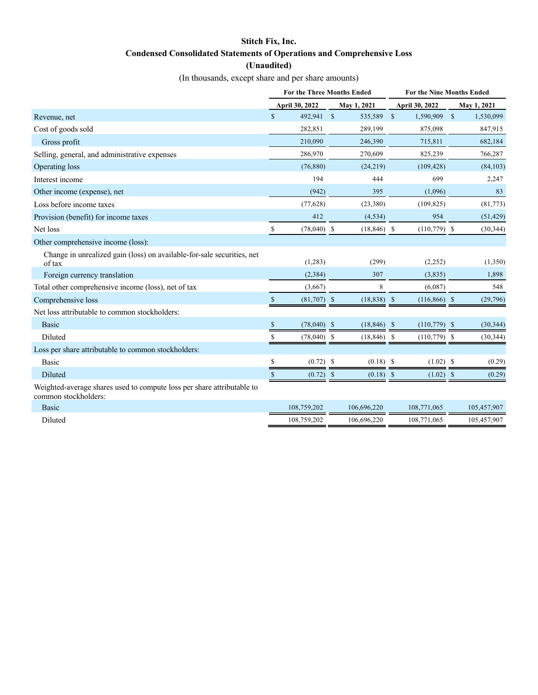### **Stitch Fix, Inc. Condensed Consolidated Statements of Operations and Comprehensive Loss**

**(Unaudited)** 

(In thousands, except share and per share amounts)

|                                                                                                | <b>For the Three Months Ended</b> |                |               | For the Nine Months Ended |                |                |               |             |
|------------------------------------------------------------------------------------------------|-----------------------------------|----------------|---------------|---------------------------|----------------|----------------|---------------|-------------|
|                                                                                                |                                   | April 30, 2022 | May 1, 2021   |                           | April 30, 2022 |                | May 1, 2021   |             |
| Revenue, net                                                                                   | $\mathbf S$                       | 492,941        | $\mathbf{\$}$ | 535,589                   | $\mathbf{s}$   | 1,590,909      | $\mathcal{S}$ | 1,530,099   |
| Cost of goods sold                                                                             |                                   | 282,851        |               | 289,199                   |                | 875,098        |               | 847,915     |
| Gross profit                                                                                   |                                   | 210,090        |               | 246,390                   |                | 715,811        |               | 682,184     |
| Selling, general, and administrative expenses                                                  |                                   | 286,970        |               | 270,609                   |                | 825,239        |               | 766,287     |
| Operating loss                                                                                 |                                   | (76, 880)      |               | (24,219)                  |                | (109, 428)     |               | (84, 103)   |
| Interest income                                                                                |                                   | 194            |               | 444                       |                | 699            |               | 2,247       |
| Other income (expense), net                                                                    |                                   | (942)          |               | 395                       |                | (1,096)        |               | 83          |
| Loss before income taxes                                                                       |                                   | (77, 628)      |               | (23, 380)                 |                | (109, 825)     |               | (81,773)    |
| Provision (benefit) for income taxes                                                           |                                   | 412            |               | (4, 534)                  |                | 954            |               | (51, 429)   |
| Net loss                                                                                       | \$                                | $(78,040)$ \$  |               | $(18, 846)$ \$            |                | $(110,779)$ \$ |               | (30, 344)   |
| Other comprehensive income (loss):                                                             |                                   |                |               |                           |                |                |               |             |
| Change in unrealized gain (loss) on available-for-sale securities, net<br>of tax               |                                   | (1,283)        |               | (299)                     |                | (2,252)        |               | (1,350)     |
| Foreign currency translation                                                                   |                                   | (2, 384)       |               | 307                       |                | (3,835)        |               | 1,898       |
| Total other comprehensive income (loss), net of tax                                            |                                   | (3,667)        |               | 8                         |                | (6,087)        |               | 548         |
| Comprehensive loss                                                                             | $\mathbb{S}$                      | $(81,707)$ \$  |               | $(18,838)$ \$             |                | $(116,866)$ \$ |               | (29,796)    |
| Net loss attributable to common stockholders:                                                  |                                   |                |               |                           |                |                |               |             |
| <b>Basic</b>                                                                                   | \$                                | $(78,040)$ \$  |               | $(18, 846)$ \$            |                | $(110,779)$ \$ |               | (30, 344)   |
| Diluted                                                                                        | \$                                | $(78,040)$ \$  |               | $(18, 846)$ \$            |                | $(110,779)$ \$ |               | (30, 344)   |
| Loss per share attributable to common stockholders:                                            |                                   |                |               |                           |                |                |               |             |
| Basic                                                                                          | \$                                | $(0.72)$ \$    |               | $(0.18)$ \$               |                | $(1.02)$ \$    |               | (0.29)      |
| Diluted                                                                                        | $\mathbf S$                       | $(0.72)$ \$    |               | $(0.18)$ \$               |                | $(1.02)$ \$    |               | (0.29)      |
| Weighted-average shares used to compute loss per share attributable to<br>common stockholders: |                                   |                |               |                           |                |                |               |             |
| <b>Basic</b>                                                                                   |                                   | 108,759,202    |               | 106,696,220               |                | 108,771,065    |               | 105,457,907 |
| Diluted                                                                                        |                                   | 108,759,202    |               | 106,696,220               |                | 108,771,065    |               | 105,457,907 |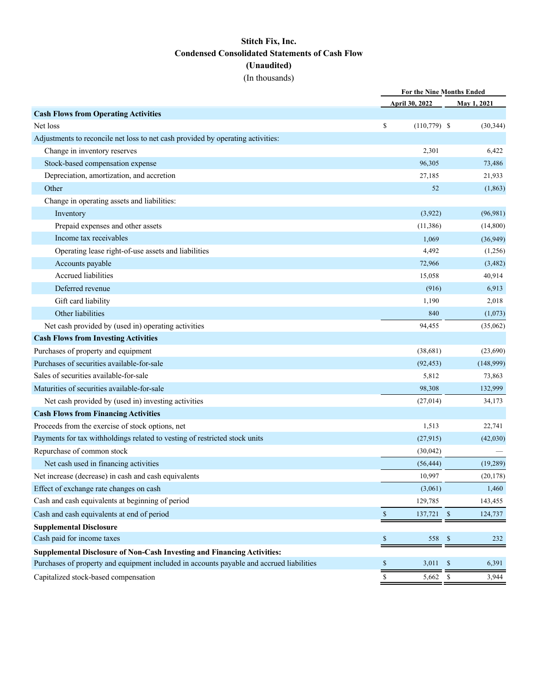### **Stitch Fix, Inc. Condensed Consolidated Statements of Cash Flow (Unaudited)** (In thousands)

|                                                                                          | For the Nine Months Ended |                |               |             |  |  |
|------------------------------------------------------------------------------------------|---------------------------|----------------|---------------|-------------|--|--|
|                                                                                          |                           | April 30, 2022 |               | May 1, 2021 |  |  |
| <b>Cash Flows from Operating Activities</b>                                              |                           |                |               |             |  |  |
| Net loss                                                                                 | \$                        | $(110,779)$ \$ |               | (30, 344)   |  |  |
| Adjustments to reconcile net loss to net cash provided by operating activities:          |                           |                |               |             |  |  |
| Change in inventory reserves                                                             |                           | 2,301          |               | 6,422       |  |  |
| Stock-based compensation expense                                                         |                           | 96,305         |               | 73,486      |  |  |
| Depreciation, amortization, and accretion                                                |                           | 27,185         |               | 21,933      |  |  |
| Other                                                                                    |                           | 52             |               | (1, 863)    |  |  |
| Change in operating assets and liabilities:                                              |                           |                |               |             |  |  |
| Inventory                                                                                |                           | (3,922)        |               | (96,981)    |  |  |
| Prepaid expenses and other assets                                                        |                           | (11,386)       |               | (14,800)    |  |  |
| Income tax receivables                                                                   |                           | 1,069          |               | (36,949)    |  |  |
| Operating lease right-of-use assets and liabilities                                      |                           | 4,492          |               | (1,256)     |  |  |
| Accounts payable                                                                         |                           | 72,966         |               | (3,482)     |  |  |
| Accrued liabilities                                                                      |                           | 15,058         |               | 40,914      |  |  |
| Deferred revenue                                                                         |                           | (916)          |               | 6,913       |  |  |
| Gift card liability                                                                      |                           | 1,190          |               | 2,018       |  |  |
| Other liabilities                                                                        |                           | 840            |               | (1,073)     |  |  |
| Net cash provided by (used in) operating activities                                      |                           | 94,455         |               | (35,062)    |  |  |
| <b>Cash Flows from Investing Activities</b>                                              |                           |                |               |             |  |  |
| Purchases of property and equipment                                                      |                           | (38,681)       |               | (23,690)    |  |  |
| Purchases of securities available-for-sale                                               |                           | (92, 453)      |               | (148,999)   |  |  |
| Sales of securities available-for-sale                                                   |                           | 5,812          |               | 73,863      |  |  |
| Maturities of securities available-for-sale                                              |                           | 98,308         |               | 132,999     |  |  |
| Net cash provided by (used in) investing activities                                      |                           | (27, 014)      |               | 34,173      |  |  |
| <b>Cash Flows from Financing Activities</b>                                              |                           |                |               |             |  |  |
| Proceeds from the exercise of stock options, net                                         |                           | 1,513          |               | 22,741      |  |  |
| Payments for tax withholdings related to vesting of restricted stock units               |                           | (27, 915)      |               | (42,030)    |  |  |
| Repurchase of common stock                                                               |                           | (30,042)       |               |             |  |  |
| Net cash used in financing activities                                                    |                           | (56, 444)      |               | (19, 289)   |  |  |
| Net increase (decrease) in cash and cash equivalents                                     |                           | 10,997         |               | (20, 178)   |  |  |
| Effect of exchange rate changes on cash                                                  |                           | (3,061)        |               | 1,460       |  |  |
| Cash and cash equivalents at beginning of period                                         |                           | 129,785        |               | 143,455     |  |  |
| Cash and cash equivalents at end of period                                               | $\mathbb S$               | 137,721 \$     |               | 124,737     |  |  |
| <b>Supplemental Disclosure</b>                                                           |                           |                |               |             |  |  |
| Cash paid for income taxes                                                               | \$                        | 558            | - \$          | 232         |  |  |
| <b>Supplemental Disclosure of Non-Cash Investing and Financing Activities:</b>           |                           |                |               |             |  |  |
| Purchases of property and equipment included in accounts payable and accrued liabilities | \$                        | 3,011          | - S           | 6,391       |  |  |
| Capitalized stock-based compensation                                                     | \$                        | 5,662          | $\mathcal{S}$ | 3,944       |  |  |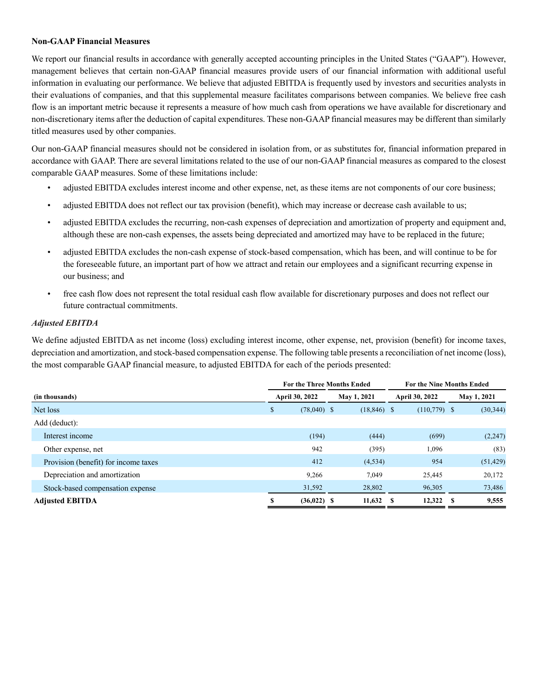### **Non-GAAP Financial Measures**

We report our financial results in accordance with generally accepted accounting principles in the United States ("GAAP"). However, management believes that certain non-GAAP financial measures provide users of our financial information with additional useful information in evaluating our performance. We believe that adjusted EBITDA is frequently used by investors and securities analysts in their evaluations of companies, and that this supplemental measure facilitates comparisons between companies. We believe free cash flow is an important metric because it represents a measure of how much cash from operations we have available for discretionary and non-discretionary items after the deduction of capital expenditures. These non-GAAP financial measures may be different than similarly titled measures used by other companies.

Our non-GAAP financial measures should not be considered in isolation from, or as substitutes for, financial information prepared in accordance with GAAP. There are several limitations related to the use of our non-GAAP financial measures as compared to the closest comparable GAAP measures. Some of these limitations include:

- adjusted EBITDA excludes interest income and other expense, net, as these items are not components of our core business;
- adjusted EBITDA does not reflect our tax provision (benefit), which may increase or decrease cash available to us;
- adjusted EBITDA excludes the recurring, non-cash expenses of depreciation and amortization of property and equipment and, although these are non-cash expenses, the assets being depreciated and amortized may have to be replaced in the future;
- adjusted EBITDA excludes the non-cash expense of stock-based compensation, which has been, and will continue to be for the foreseeable future, an important part of how we attract and retain our employees and a significant recurring expense in our business; and
- free cash flow does not represent the total residual cash flow available for discretionary purposes and does not reflect our future contractual commitments.

### *Adjusted EBITDA*

We define adjusted EBITDA as net income (loss) excluding interest income, other expense, net, provision (benefit) for income taxes, depreciation and amortization, and stock-based compensation expense. The following table presents a reconciliation of net income (loss), the most comparable GAAP financial measure, to adjusted EBITDA for each of the periods presented:

|                                      |                       | <b>For the Three Months Ended</b> | <b>For the Nine Months Ended</b> |             |  |  |
|--------------------------------------|-----------------------|-----------------------------------|----------------------------------|-------------|--|--|
| (in thousands)                       | <b>April 30, 2022</b> | May 1, 2021                       | <b>April 30, 2022</b>            | May 1, 2021 |  |  |
| Net loss                             | \$                    | $(18, 846)$ \$<br>$(78,040)$ \$   | $(110,779)$ \$                   | (30, 344)   |  |  |
| Add (deduct):                        |                       |                                   |                                  |             |  |  |
| Interest income                      |                       | (194)<br>(444)                    | (699)                            | (2,247)     |  |  |
| Other expense, net                   |                       | 942<br>(395)                      | 1,096                            | (83)        |  |  |
| Provision (benefit) for income taxes |                       | 412<br>(4,534)                    | 954                              | (51, 429)   |  |  |
| Depreciation and amortization        | 9.266                 | 7.049                             | 25,445                           | 20,172      |  |  |
| Stock-based compensation expense     | 31,592                | 28,802                            | 96,305                           | 73,486      |  |  |
| <b>Adjusted EBITDA</b>               |                       | $11,632$ \$<br>$(36, 022)$ \$     | 12.322                           | 9,555       |  |  |